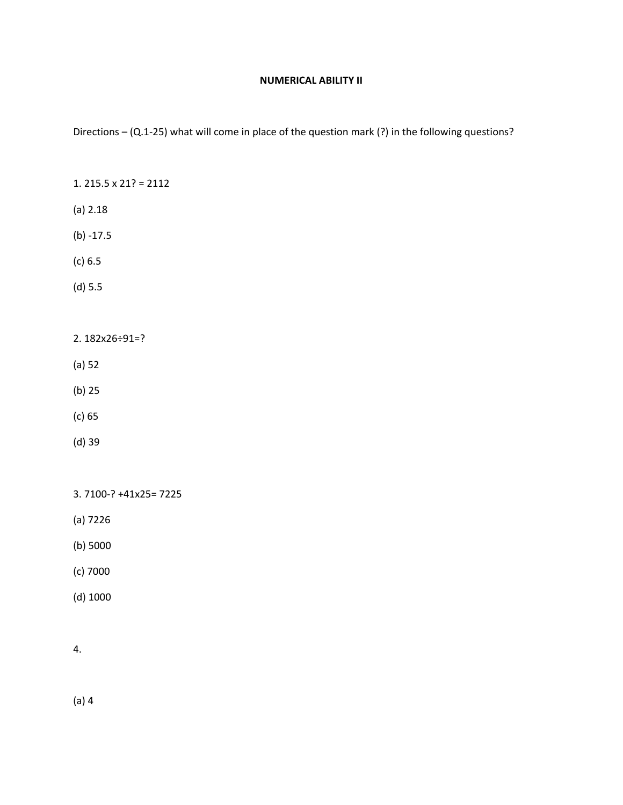#### **NUMERICAL ABILITY II**

Directions – (Q.1‐25) what will come in place of the question mark (?) in the following questions?

- 1. 215.5 x 21? = 2112
- (a) 2.18
- $(b) 17.5$
- (c) 6.5
- (d) 5.5
- 2. 182x26÷91=?
- (a) 52
- (b) 25
- (c) 65
- (d) 39

3. 7100‐? +41x25= 7225

- (a) 7226
- (b) 5000
- (c) 7000
- (d) 1000
- 4.

(a) 4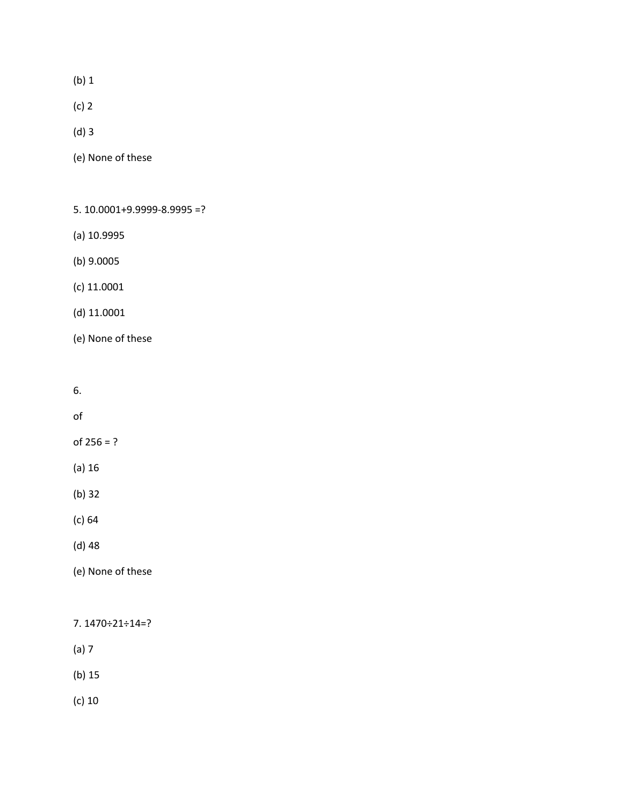(b) 1

(c) 2

(d) 3

(e) None of these

5. 10.0001+9.9999‐8.9995 =?

(a) 10.9995

(b) 9.0005

(c) 11.0001

(d) 11.0001

(e) None of these

6.

of

of  $256 = ?$ 

(a) 16

(b) 32

(c) 64

(d) 48

(e) None of these

7. 1470÷21÷14=?

(a) 7

(b) 15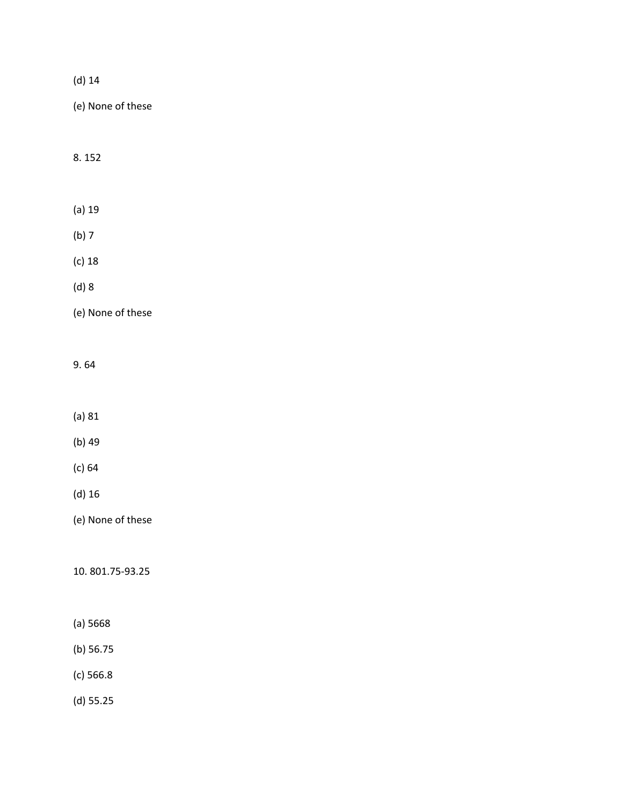|--|--|

8. 152

(a) 19

(b) 7

(c) 18

(d) 8

(e) None of these

## 9. 64

(a) 81

- (b) 49
- (c) 64
- (d) 16

(e) None of these

10. 801.75‐93.25

- (a) 5668
- (b) 56.75
- (c) 566.8

(d) 55.25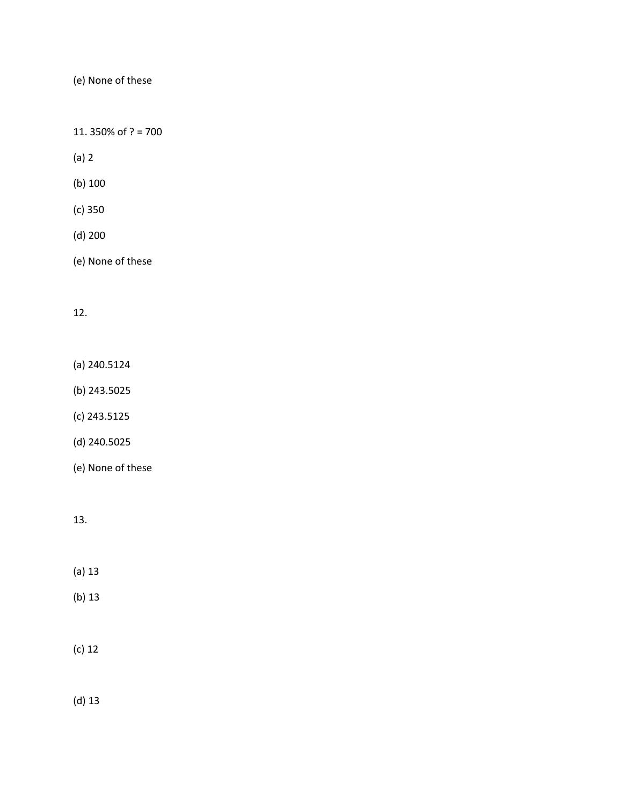11. 350% of ? = 700

(a) 2

(b) 100

(c) 350

(d) 200

(e) None of these

### 12.

(a) 240.5124

(b) 243.5025

(c) 243.5125

(d) 240.5025

(e) None of these

# 13.

(a) 13

(b) 13

## (c) 12

(d) 13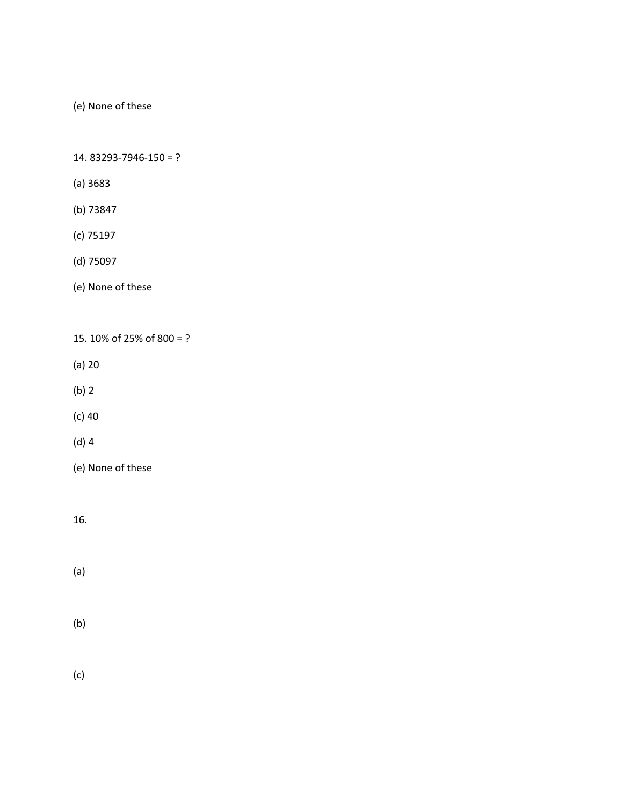14. 83293‐7946‐150 = ?

- (a) 3683
- (b) 73847
- (c) 75197
- (d) 75097
- (e) None of these

15. 10% of 25% of 800 = ?

- (a) 20
- (b) 2

(c) 40

- (d) 4
- (e) None of these

16.

- (a)
- (b)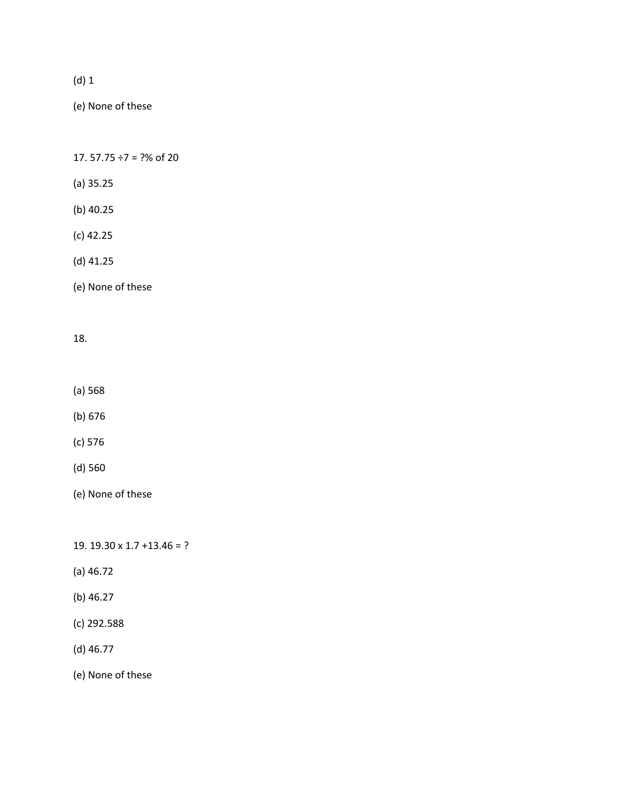(e) None of these

17.  $57.75 \div 7 = ?%$  of 20

- (a) 35.25
- (b) 40.25
- (c) 42.25
- (d) 41.25
- (e) None of these

#### 18.

- (a) 568
- (b) 676
- (c) 576
- (d) 560
- (e) None of these

19. 19.30 x 1.7 +13.46 = ?

- (a) 46.72
- (b) 46.27
- (c) 292.588
- (d) 46.77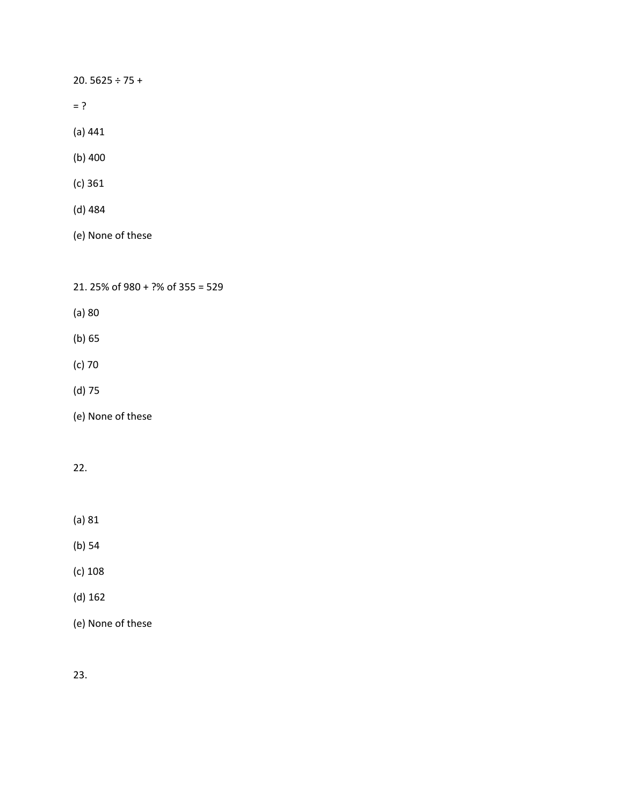20. 5625 ÷ 75 +

- $= ?$
- (a) 441
- (b) 400
- (c) 361
- (d) 484
- (e) None of these

21. 25% of 980 + ?% of 355 = 529

- (a) 80
- (b) 65
- (c) 70
- (d) 75
- (e) None of these

## 22.

- (a) 81
- (b) 54
- (c) 108
- (d) 162
- (e) None of these

23.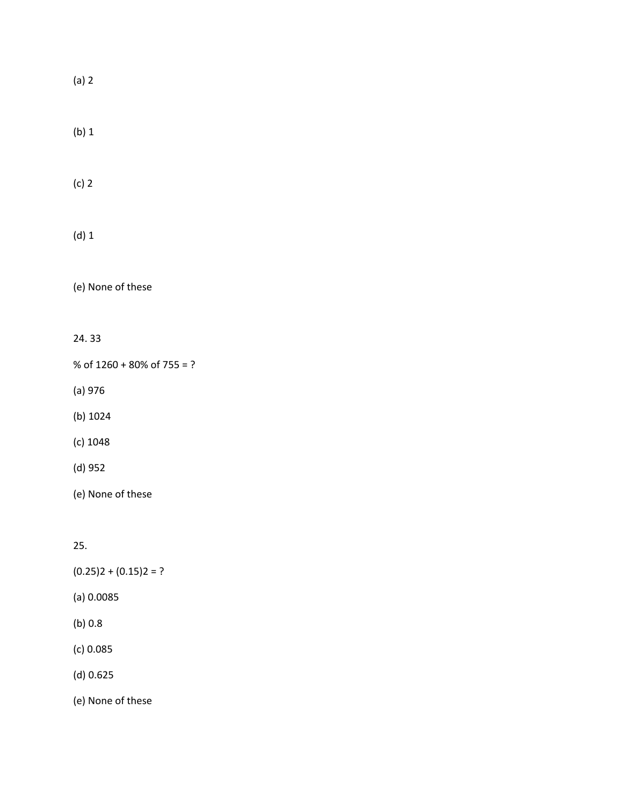(a) 2

(b) 1

(c) 2

(d) 1

(e) None of these

24. 33

% of 1260 + 80% of 755 = ?

(a) 976

(b) 1024

(c) 1048

(d) 952

(e) None of these

25.

 $(0.25)2 + (0.15)2 = ?$ 

(a) 0.0085

(b) 0.8

(c) 0.085

(d) 0.625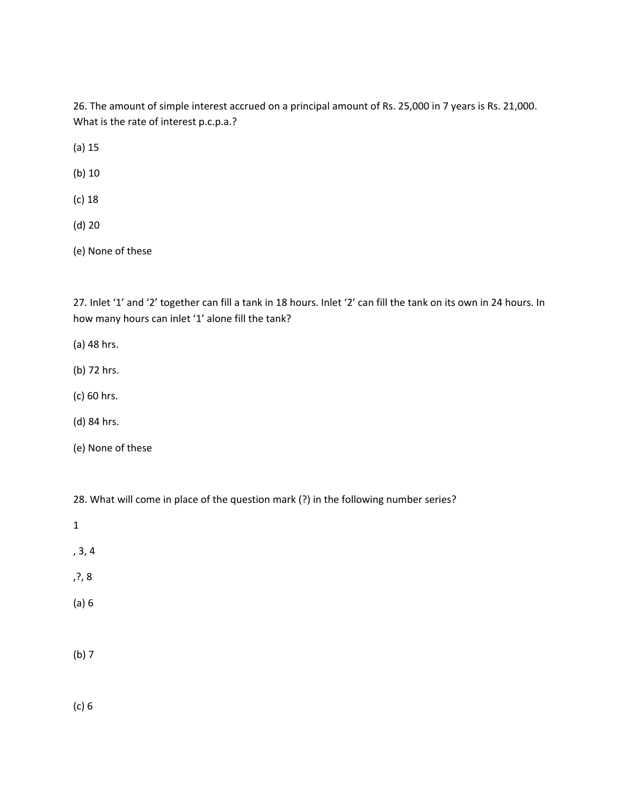26. The amount of simple interest accrued on a principal amount of Rs. 25,000 in 7 years is Rs. 21,000. What is the rate of interest p.c.p.a.?

(a) 15

(b) 10

- (c) 18
- (d) 20

(e) None of these

27. Inlet '1' and '2' together can fill a tank in 18 hours. Inlet '2' can fill the tank on its own in 24 hours. In how many hours can inlet '1' alone fill the tank?

- (a) 48 hrs.
- (b) 72 hrs.
- (c) 60 hrs.
- (d) 84 hrs.
- (e) None of these

28. What will come in place of the question mark (?) in the following number series?

- 1
- 
- , 3, 4
- ,?, 8
- (a) 6
- (b) 7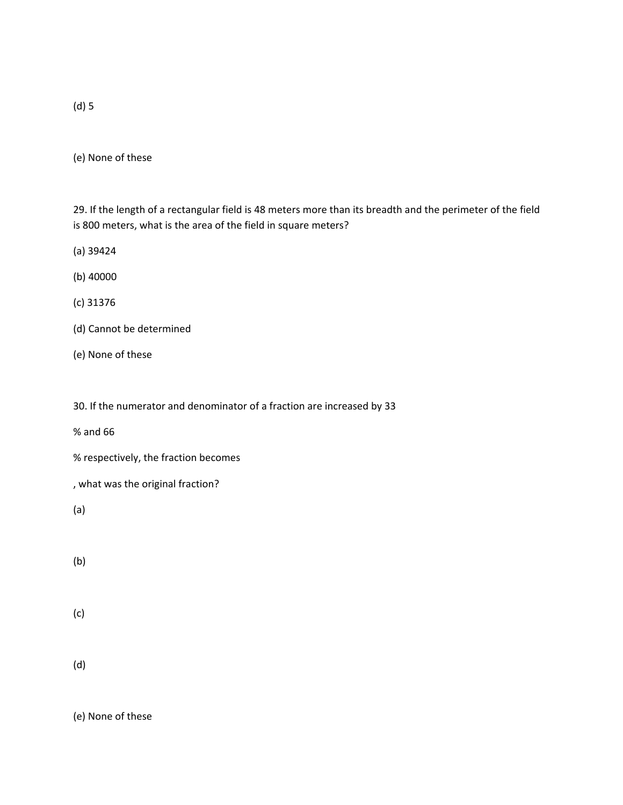(e) None of these

29. If the length of a rectangular field is 48 meters more than its breadth and the perimeter of the field is 800 meters, what is the area of the field in square meters?

(a) 39424

(b) 40000

(c) 31376

- (d) Cannot be determined
- (e) None of these

30. If the numerator and denominator of a fraction are increased by 33

% and 66

% respectively, the fraction becomes

, what was the original fraction?

(a)

(b)

(c)

(d)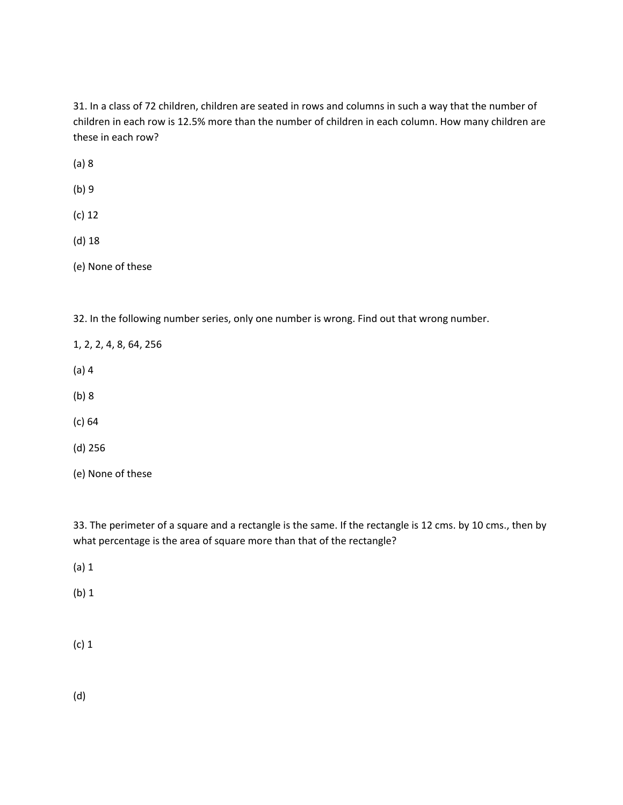31. In a class of 72 children, children are seated in rows and columns in such a way that the number of children in each row is 12.5% more than the number of children in each column. How many children are these in each row?

(a) 8

(b) 9

(c) 12

(d) 18

(e) None of these

32. In the following number series, only one number is wrong. Find out that wrong number.

1, 2, 2, 4, 8, 64, 256

(a) 4

(b) 8

(c) 64

(d) 256

(e) None of these

33. The perimeter of a square and a rectangle is the same. If the rectangle is 12 cms. by 10 cms., then by what percentage is the area of square more than that of the rectangle?

(a) 1

(b) 1

(c) 1

(d)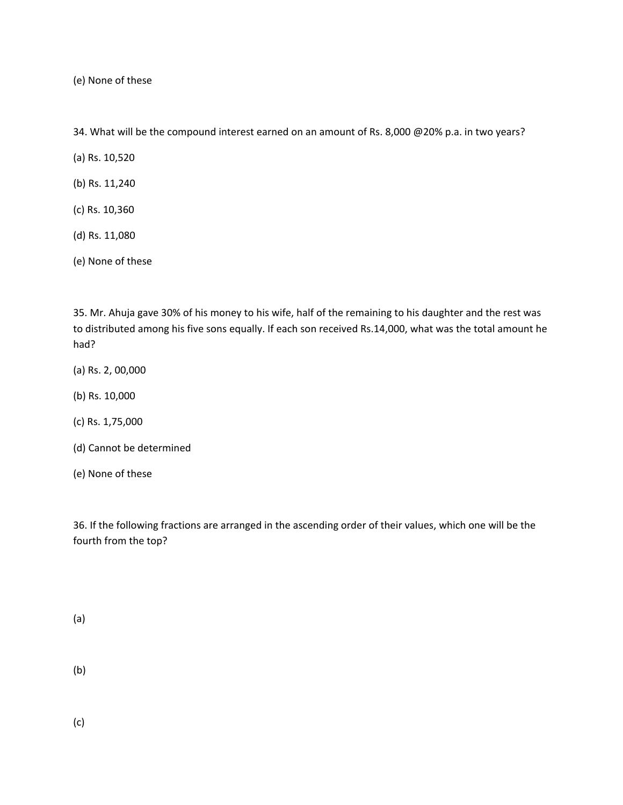34. What will be the compound interest earned on an amount of Rs. 8,000 @20% p.a. in two years?

(a) Rs. 10,520

- (b) Rs. 11,240
- (c) Rs. 10,360
- (d) Rs. 11,080

(e) None of these

35. Mr. Ahuja gave 30% of his money to his wife, half of the remaining to his daughter and the rest was to distributed among his five sons equally. If each son received Rs.14,000, what was the total amount he had?

- (a) Rs. 2, 00,000
- (b) Rs. 10,000
- (c) Rs. 1,75,000
- (d) Cannot be determined
- (e) None of these

36. If the following fractions are arranged in the ascending order of their values, which one will be the fourth from the top?

(a)

(b)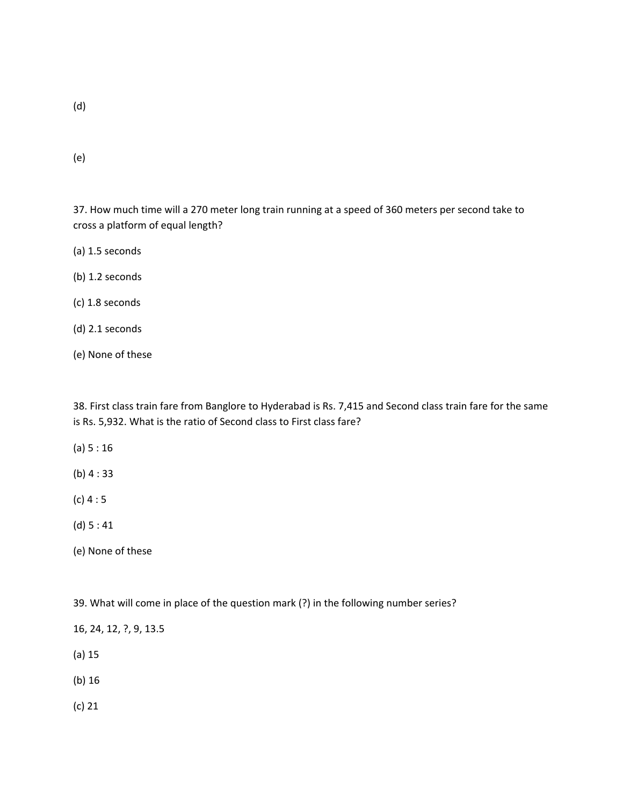(e)

37. How much time will a 270 meter long train running at a speed of 360 meters per second take to cross a platform of equal length?

(a) 1.5 seconds

(b) 1.2 seconds

(c) 1.8 seconds

(d) 2.1 seconds

(e) None of these

38. First class train fare from Banglore to Hyderabad is Rs. 7,415 and Second class train fare for the same is Rs. 5,932. What is the ratio of Second class to First class fare?

(a) 5 : 16

(b) 4 : 33

(c) 4 : 5

(d) 5 : 41

(e) None of these

39. What will come in place of the question mark (?) in the following number series?

16, 24, 12, ?, 9, 13.5

(a) 15

(b) 16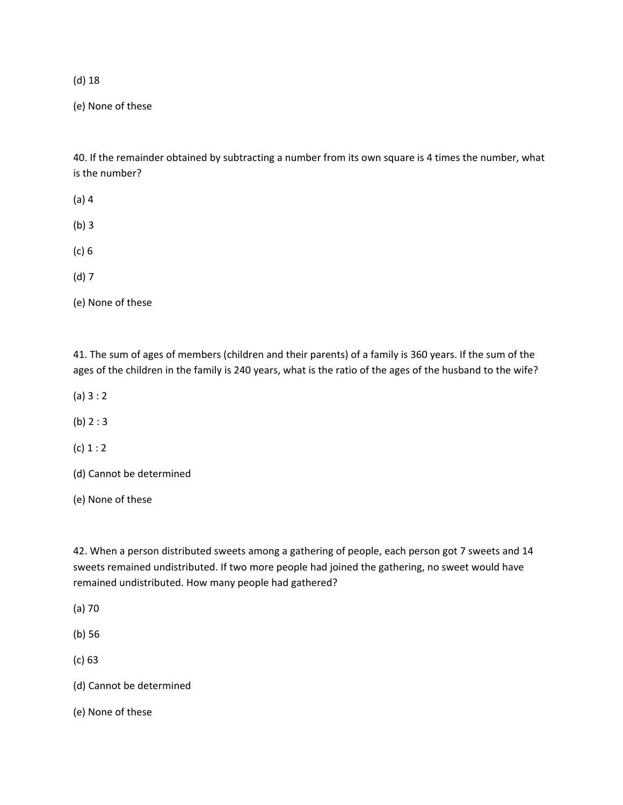(e) None of these

40. If the remainder obtained by subtracting a number from its own square is 4 times the number, what is the number?

- (a) 4
- (b) 3
- (c) 6
- (d) 7

(e) None of these

41. The sum of ages of members (children and their parents) of a family is 360 years. If the sum of the ages of the children in the family is 240 years, what is the ratio of the ages of the husband to the wife?

- (a) 3 : 2
- (b) 2 : 3
- $(c) 1 : 2$
- (d) Cannot be determined
- (e) None of these

42. When a person distributed sweets among a gathering of people, each person got 7 sweets and 14 sweets remained undistributed. If two more people had joined the gathering, no sweet would have remained undistributed. How many people had gathered?

- (a) 70
- (b) 56
- (c) 63
- (d) Cannot be determined
- (e) None of these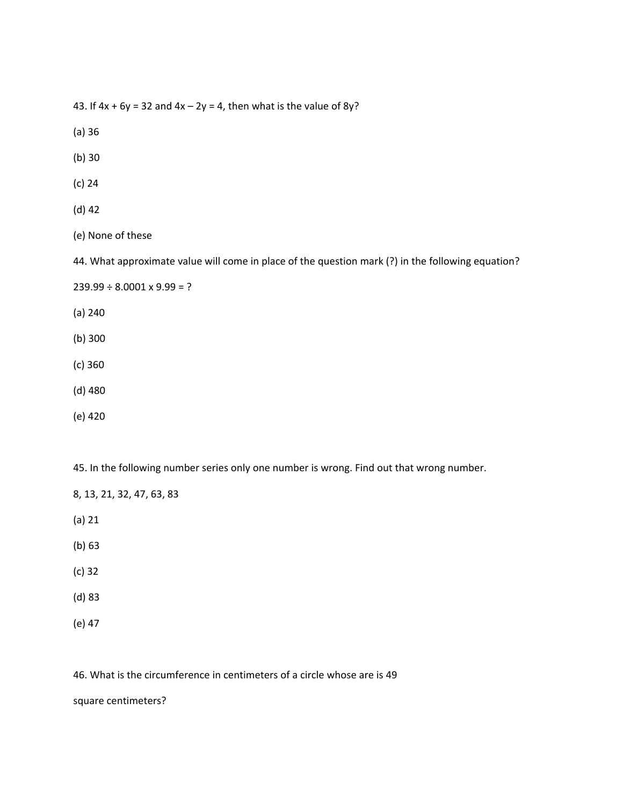43. If  $4x + 6y = 32$  and  $4x - 2y = 4$ , then what is the value of 8y?

- (a) 36
- (b) 30
- (c) 24
- (d) 42
- (e) None of these

44. What approximate value will come in place of the question mark (?) in the following equation?

 $239.99 \div 8.0001 \times 9.99 = ?$ 

- (a) 240
- (b) 300
- (c) 360
- (d) 480
- (e) 420

45. In the following number series only one number is wrong. Find out that wrong number.

8, 13, 21, 32, 47, 63, 83

- (a) 21
- (b) 63
- (c) 32
- (d) 83
- (e) 47

46. What is the circumference in centimeters of a circle whose are is 49

square centimeters?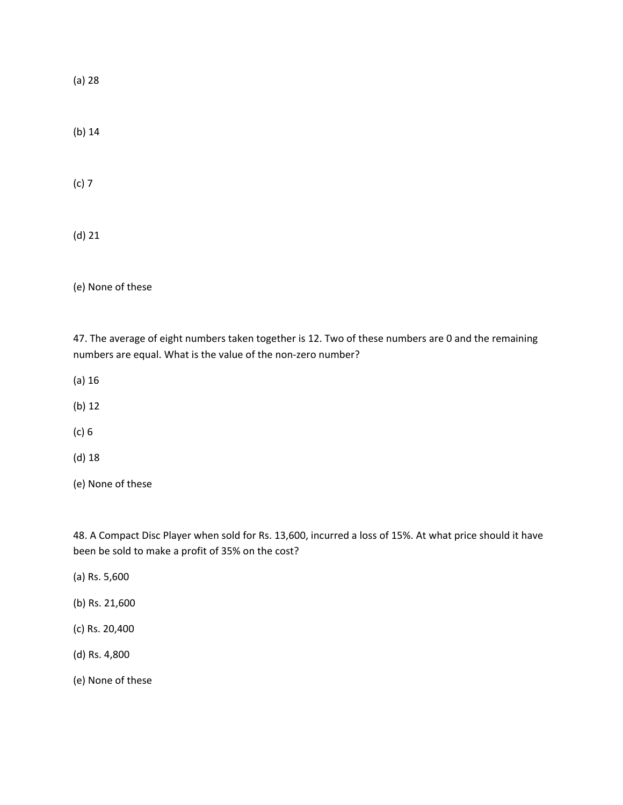(a) 28

(b) 14

(c) 7

(d) 21

(e) None of these

47. The average of eight numbers taken together is 12. Two of these numbers are 0 and the remaining numbers are equal. What is the value of the non‐zero number?

(a) 16

(b) 12

(c) 6

(d) 18

(e) None of these

48. A Compact Disc Player when sold for Rs. 13,600, incurred a loss of 15%. At what price should it have been be sold to make a profit of 35% on the cost?

(a) Rs. 5,600

(b) Rs. 21,600

(c) Rs. 20,400

(d) Rs. 4,800